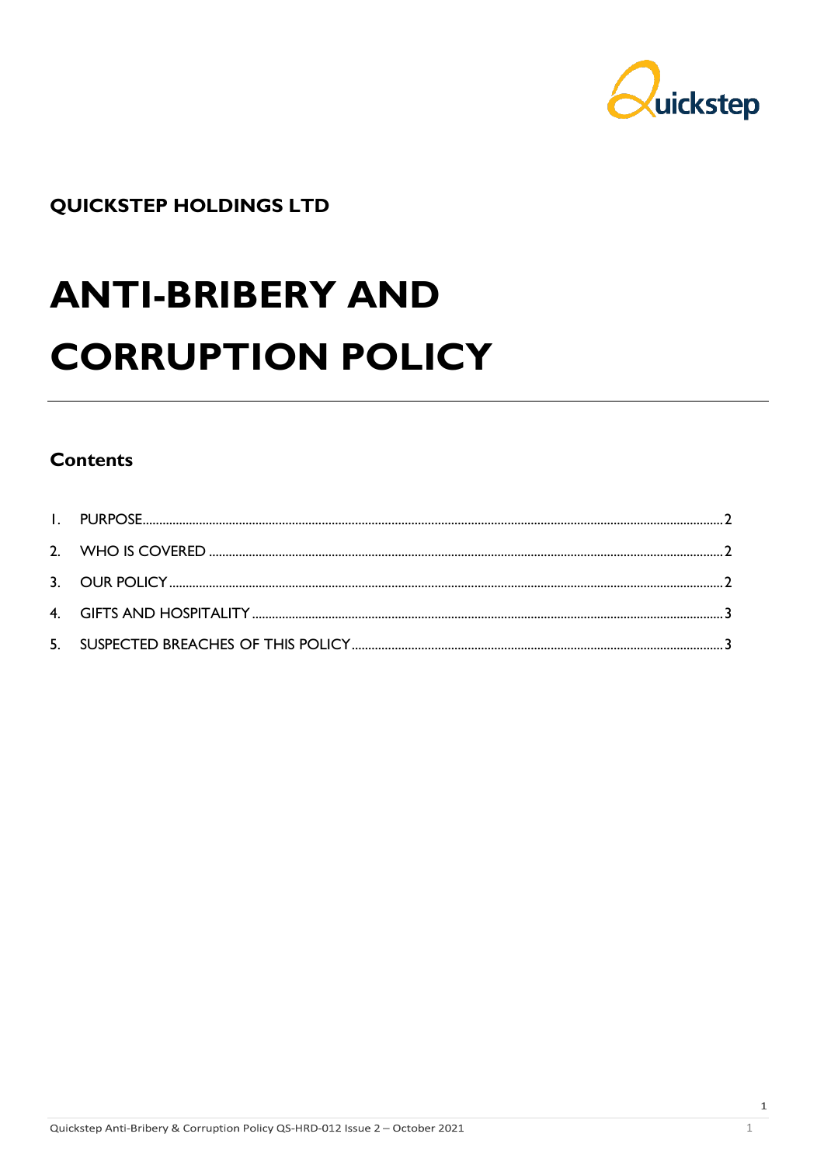

## **QUICKSTEP HOLDINGS LTD**

# **ANTI-BRIBERY AND CORRUPTION POLICY**

### **Contents**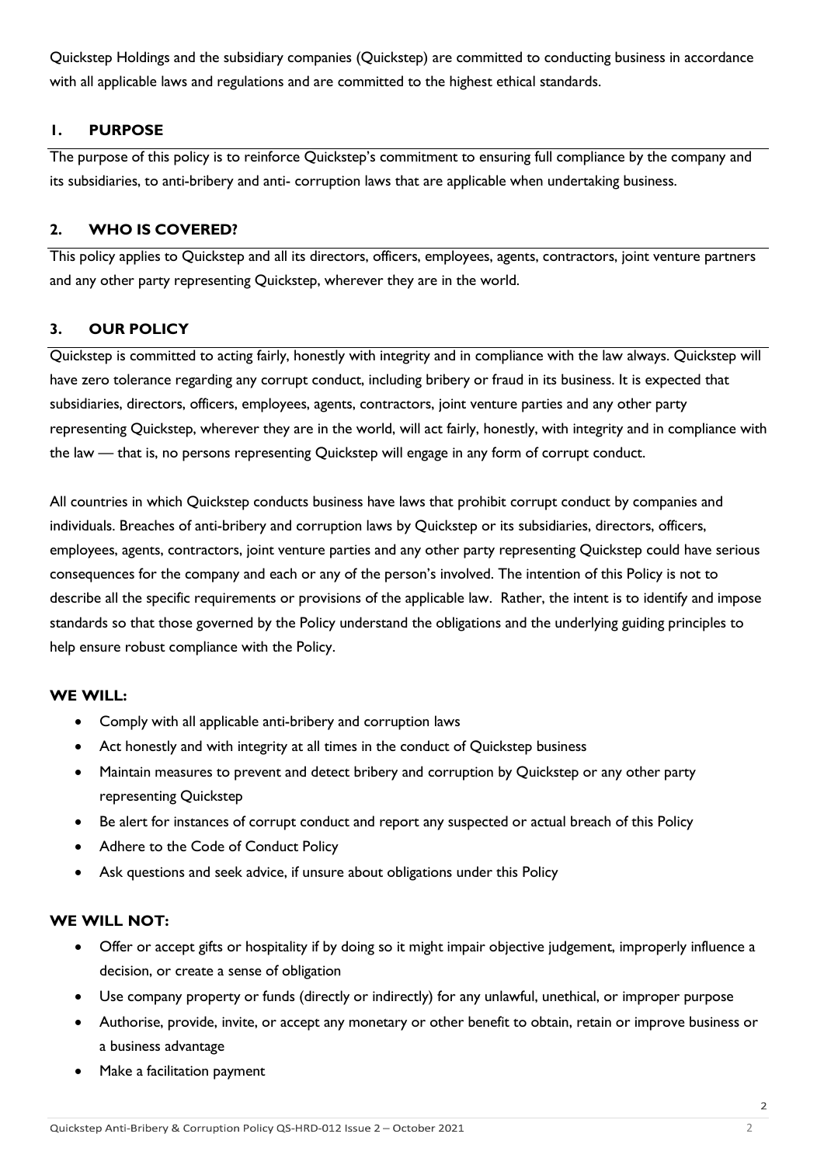Quickstep Holdings and the subsidiary companies (Quickstep) are committed to conducting business in accordance with all applicable laws and regulations and are committed to the highest ethical standards.

#### <span id="page-1-0"></span>**1. PURPOSE**

The purpose of this policy is to reinforce Quickstep's commitment to ensuring full compliance by the company and its subsidiaries, to anti-bribery and anti- corruption laws that are applicable when undertaking business.

#### <span id="page-1-1"></span>**2. WHO IS COVERED?**

This policy applies to Quickstep and all its directors, officers, employees, agents, contractors, joint venture partners and any other party representing Quickstep, wherever they are in the world.

#### <span id="page-1-2"></span>**3. OUR POLICY**

Quickstep is committed to acting fairly, honestly with integrity and in compliance with the law always. Quickstep will have zero tolerance regarding any corrupt conduct, including bribery or fraud in its business. It is expected that subsidiaries, directors, officers, employees, agents, contractors, joint venture parties and any other party representing Quickstep, wherever they are in the world, will act fairly, honestly, with integrity and in compliance with the law — that is, no persons representing Quickstep will engage in any form of corrupt conduct.

All countries in which Quickstep conducts business have laws that prohibit corrupt conduct by companies and individuals. Breaches of anti-bribery and corruption laws by Quickstep or its subsidiaries, directors, officers, employees, agents, contractors, joint venture parties and any other party representing Quickstep could have serious consequences for the company and each or any of the person's involved. The intention of this Policy is not to describe all the specific requirements or provisions of the applicable law. Rather, the intent is to identify and impose standards so that those governed by the Policy understand the obligations and the underlying guiding principles to help ensure robust compliance with the Policy.

#### **WE WILL:**

- Comply with all applicable anti-bribery and corruption laws
- Act honestly and with integrity at all times in the conduct of Quickstep business
- Maintain measures to prevent and detect bribery and corruption by Quickstep or any other party representing Quickstep
- Be alert for instances of corrupt conduct and report any suspected or actual breach of this Policy
- Adhere to the Code of Conduct Policy
- Ask questions and seek advice, if unsure about obligations under this Policy

#### **WE WILL NOT:**

- Offer or accept gifts or hospitality if by doing so it might impair objective judgement, improperly influence a decision, or create a sense of obligation
- Use company property or funds (directly or indirectly) for any unlawful, unethical, or improper purpose
- Authorise, provide, invite, or accept any monetary or other benefit to obtain, retain or improve business or a business advantage
- Make a facilitation payment